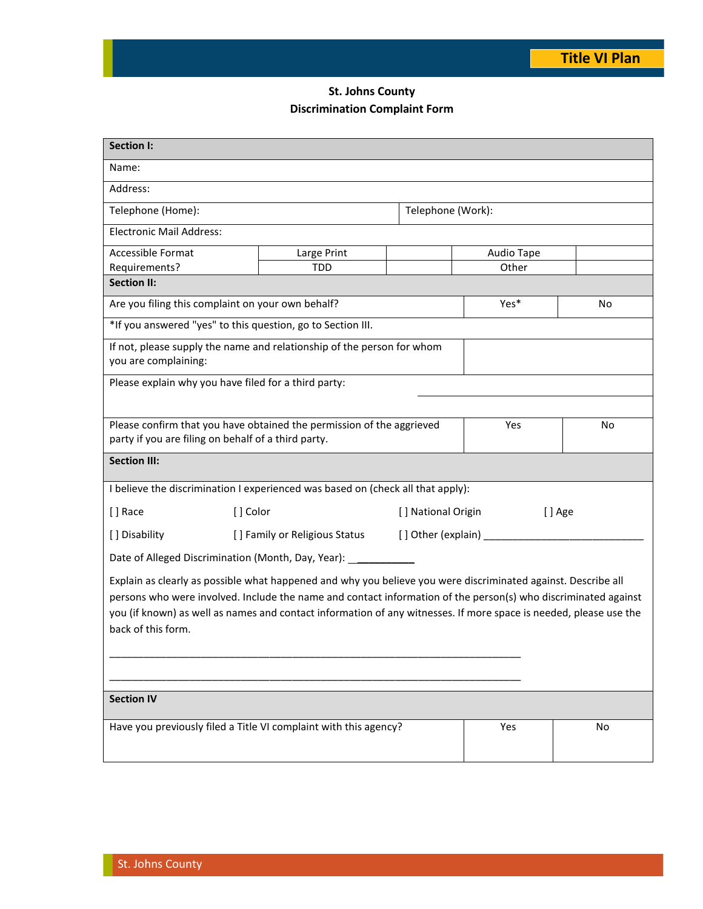## **St. Johns County Discrimination Complaint Form**

| <b>Section I:</b>                                                                                                                                                                                                                                                                                                                                                          |                                                                 |                   |                               |    |  |
|----------------------------------------------------------------------------------------------------------------------------------------------------------------------------------------------------------------------------------------------------------------------------------------------------------------------------------------------------------------------------|-----------------------------------------------------------------|-------------------|-------------------------------|----|--|
| Name:                                                                                                                                                                                                                                                                                                                                                                      |                                                                 |                   |                               |    |  |
| Address:                                                                                                                                                                                                                                                                                                                                                                   |                                                                 |                   |                               |    |  |
| Telephone (Home):                                                                                                                                                                                                                                                                                                                                                          |                                                                 | Telephone (Work): |                               |    |  |
| <b>Electronic Mail Address:</b>                                                                                                                                                                                                                                                                                                                                            |                                                                 |                   |                               |    |  |
| Accessible Format                                                                                                                                                                                                                                                                                                                                                          | Large Print<br>Audio Tape                                       |                   |                               |    |  |
| Requirements?                                                                                                                                                                                                                                                                                                                                                              | <b>TDD</b>                                                      |                   | Other                         |    |  |
| <b>Section II:</b>                                                                                                                                                                                                                                                                                                                                                         |                                                                 |                   |                               |    |  |
| Are you filing this complaint on your own behalf?                                                                                                                                                                                                                                                                                                                          |                                                                 |                   | Yes*                          | No |  |
| *If you answered "yes" to this question, go to Section III.                                                                                                                                                                                                                                                                                                                |                                                                 |                   |                               |    |  |
| If not, please supply the name and relationship of the person for whom<br>you are complaining:                                                                                                                                                                                                                                                                             |                                                                 |                   |                               |    |  |
| Please explain why you have filed for a third party:                                                                                                                                                                                                                                                                                                                       |                                                                 |                   |                               |    |  |
|                                                                                                                                                                                                                                                                                                                                                                            |                                                                 |                   |                               |    |  |
| Please confirm that you have obtained the permission of the aggrieved<br>party if you are filing on behalf of a third party.                                                                                                                                                                                                                                               |                                                                 |                   | Yes                           | No |  |
|                                                                                                                                                                                                                                                                                                                                                                            |                                                                 |                   |                               |    |  |
| <b>Section III:</b>                                                                                                                                                                                                                                                                                                                                                        |                                                                 |                   |                               |    |  |
| I believe the discrimination I experienced was based on (check all that apply):                                                                                                                                                                                                                                                                                            |                                                                 |                   |                               |    |  |
| [] Race<br>[] Color                                                                                                                                                                                                                                                                                                                                                        |                                                                 |                   | [ ] National Origin<br>[] Age |    |  |
| [] Disability                                                                                                                                                                                                                                                                                                                                                              | [] Family or Religious Status<br>[] Other (explain) ___________ |                   |                               |    |  |
| Date of Alleged Discrimination (Month, Day, Year): ______________                                                                                                                                                                                                                                                                                                          |                                                                 |                   |                               |    |  |
| Explain as clearly as possible what happened and why you believe you were discriminated against. Describe all<br>persons who were involved. Include the name and contact information of the person(s) who discriminated against<br>you (if known) as well as names and contact information of any witnesses. If more space is needed, please use the<br>back of this form. |                                                                 |                   |                               |    |  |
|                                                                                                                                                                                                                                                                                                                                                                            |                                                                 |                   |                               |    |  |
| <b>Section IV</b>                                                                                                                                                                                                                                                                                                                                                          |                                                                 |                   |                               |    |  |
| Have you previously filed a Title VI complaint with this agency?                                                                                                                                                                                                                                                                                                           |                                                                 |                   | Yes                           | No |  |